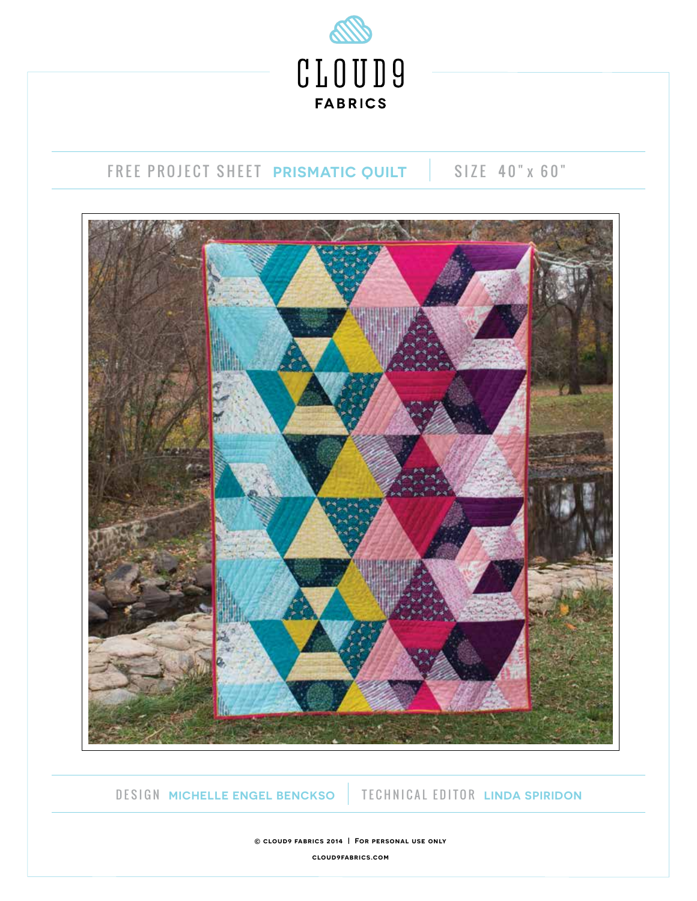

# FREE PROJECT SHEET **PRISMATIC QUILT** | SIZE 40" x 60"



## DESIGN **MICHELLE ENGEL BENCKSO** TECHNICAL EDITOR **LINDA SPIRIDON**

**© cloud9 fabrics 2014 | For personal use only**

**cloud9fabrics.com**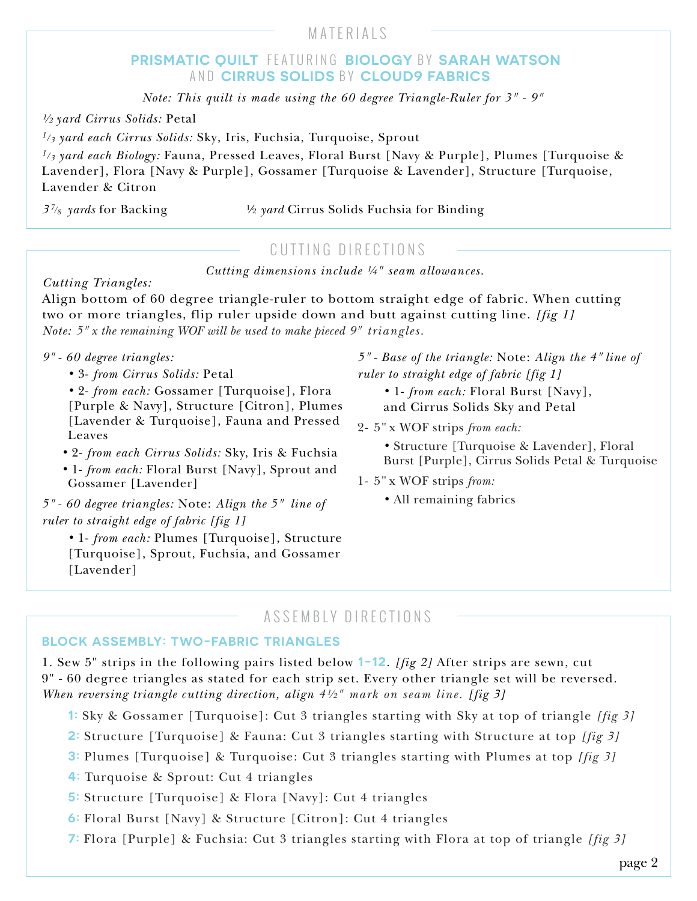## MATERIALS

## **PRISMATIC QUILT** FEATURING **BIOLOGY** BY **SARAH WATSON**  AND **CIRRUS SOLIDS** BY **CLOUD9 FABRICS**

*Note: This quilt is made using the 60 degree Triangle-Ruler for 3" - 9"*

*½ yard Cirrus Solids:* Petal

*1/3 yard each Cirrus Solids:* Sky, Iris, Fuchsia, Turquoise, Sprout

*1/3 yard each Biology:* Fauna, Pressed Leaves, Floral Burst [Navy & Purple], Plumes [Turquoise & Lavender], Flora [Navy & Purple], Gossamer [Turquoise & Lavender], Structure [Turquoise, Lavender & Citron

*3 7/8 yards* for Backing ½ *yard* Cirrus Solids Fuchsia for Binding

## CUTTING DIRECTIONS

*Cutting dimensions include ¼" seam allowances.*

*Cutting Triangles:*

Align bottom of 60 degree triangle-ruler to bottom straight edge of fabric. When cutting two or more triangles, flip ruler upside down and butt against cutting line. *[fig 1] Note: 5" x the remaining WOF will be used to make pieced 9" triangles.* 

#### *9" - 60 degree triangles:*

*•* 3- *from Cirrus Solids:* Petal

*•* 2- *from each:* Gossamer [Turquoise], Flora [Purple & Navy], Structure [Citron], Plumes [Lavender & Turquoise], Fauna and Pressed Leaves

- *•* 2- *from each Cirrus Solids:* Sky, Iris & Fuchsia
- *•* 1- *from each:* Floral Burst [Navy], Sprout and Gossamer [Lavender]

*5" - 60 degree triangles:* Note: *Align the 5" line of ruler to straight edge of fabric [fig 1]*

*•* 1- *from each:* Plumes [Turquoise], Structure [Turquoise], Sprout, Fuchsia, and Gossamer [Lavender]

*5" - Base of the triangle:* Note: *Align the 4" line of ruler to straight edge of fabric [fig 1]*

- *•* 1- *from each:* Floral Burst [Navy], and Cirrus Solids Sky and Petal
- 2- 5" x WOF strips *from each:* 
	- *•* Structure [Turquoise & Lavender], Floral Burst [Purple], Cirrus Solids Petal & Turquoise
- 1- 5" x WOF strips *from:* 
	- *•* All remaining fabrics

## ASSEMBLY DIRECTIONS

#### **BLOCK ASSEMBLY: TWO-FABRIC TRIANGLES**

1. Sew 5" strips in the following pairs listed below **1-12**. *[fig 2]* After strips are sewn, cut 9" - 60 degree triangles as stated for each strip set. Every other triangle set will be reversed. *When reversing triangle cutting direction, align 4½" mark on seam line. [fig 3]*

- **1:** Sky & Gossamer [Turquoise]: Cut 3 triangles starting with Sky at top of triangle *[fig 3]*
- **2:** Structure [Turquoise] & Fauna: Cut 3 triangles starting with Structure at top *[fig 3]*
- **3:** Plumes [Turquoise] & Turquoise: Cut 3 triangles starting with Plumes at top *[fig 3]*
- **4:** Turquoise & Sprout: Cut 4 triangles
- **5:** Structure [Turquoise] & Flora [Navy]: Cut 4 triangles
- **6:** Floral Burst [Navy] & Structure [Citron]: Cut 4 triangles
- **7:** Flora [Purple] & Fuchsia: Cut 3 triangles starting with Flora at top of triangle *[fig 3]*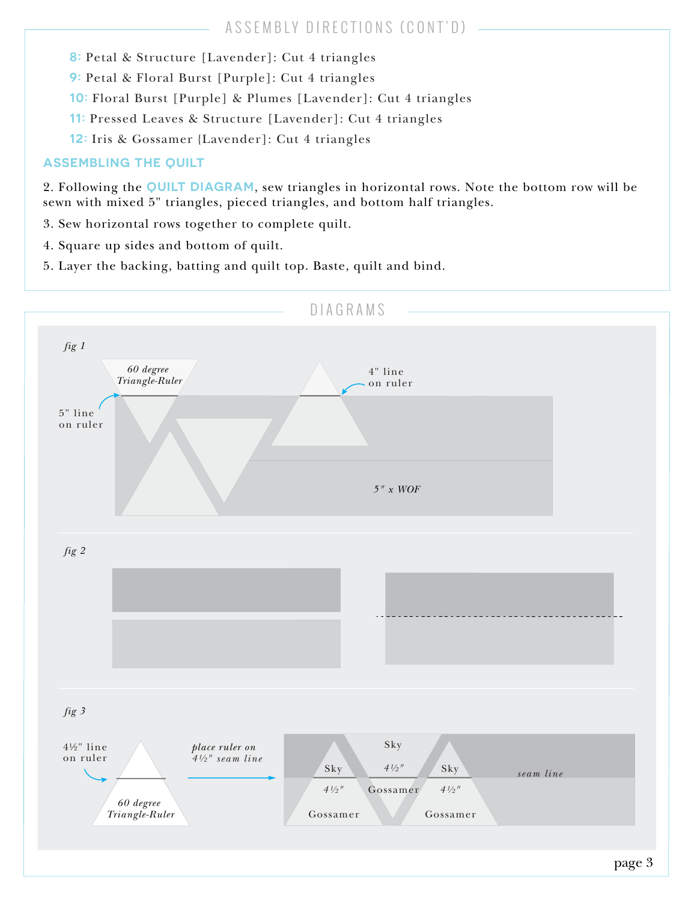- **8:** Petal & Structure [Lavender]: Cut 4 triangles
- **9:** Petal & Floral Burst [Purple]: Cut 4 triangles
- **10:** Floral Burst [Purple] & Plumes [Lavender]: Cut 4 triangles
- **11:** Pressed Leaves & Structure [Lavender]: Cut 4 triangles
- **12:** Iris & Gossamer {Lavender]: Cut 4 triangles

## **ASSEMBLING THE QUILT**

2. Following the **QUILT DIAGRAM**, sew triangles in horizontal rows. Note the bottom row will be sewn with mixed 5" triangles, pieced triangles, and bottom half triangles.

- 3. Sew horizontal rows together to complete quilt.
- 4. Square up sides and bottom of quilt.
- 5. Layer the backing, batting and quilt top. Baste, quilt and bind.